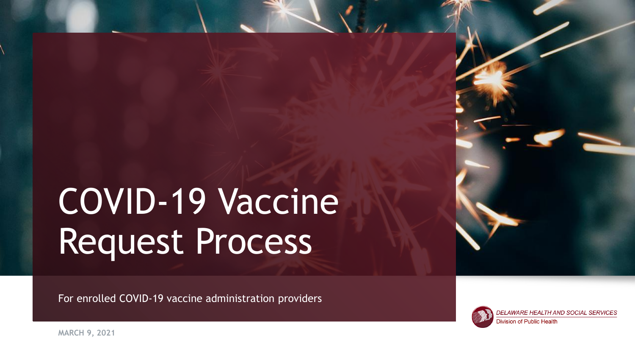# COVID-19 Vaccine Request Process

For enrolled COVID-19 vaccine administration providers



DELAWARE HEALTH AND SOCIAL SERVICES **Division of Public Health** 

**MARCH 9, 2021**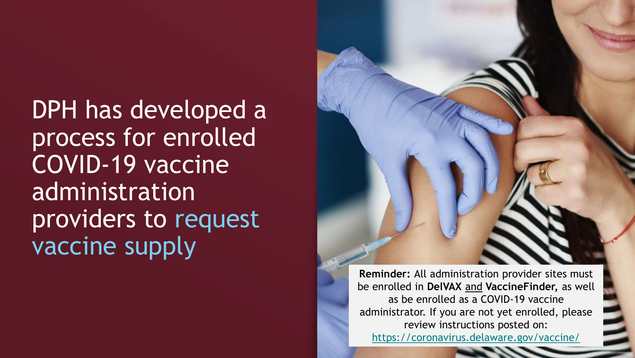DPH has developed a process for enrolled COVID-19 vaccine administration providers to request vaccine supply

**Reminder:** All administration provider sites must be enrolled in **DelVAX** and **VaccineFinder,** as well as be enrolled as a COVID-19 vaccine

administrator. If you are not yet enrolled, please review instructions posted on: <https://coronavirus.delaware.gov/vaccine/>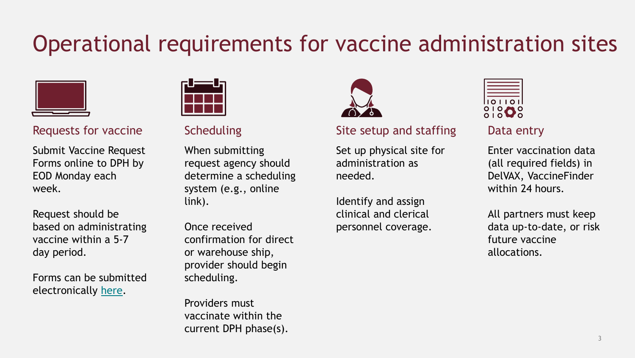# Operational requirements for vaccine administration sites



Submit Vaccine Request Forms online to DPH by EOD Monday each week.

Request should be based on administrating vaccine within a 5-7 day period.

Forms can be submitted electronically [here](https://coronavirus.delaware.gov/shoc-resource-form-for-vaccine-events/).



When submitting request agency should determine a scheduling system (e.g., online link).

Once received confirmation for direct or warehouse ship, provider should begin scheduling.

Providers must vaccinate within the current DPH phase(s).



### Requests for vaccine Scheduling Site setup and staffing Data entry

Set up physical site for administration as needed.

Identify and assign clinical and clerical personnel coverage.

|    | $\bullet$ | ı | Э |  |
|----|-----------|---|---|--|
| r. |           |   |   |  |

Enter vaccination data (all required fields) in DelVAX, VaccineFinder within 24 hours.

All partners must keep data up-to-date, or risk future vaccine allocations.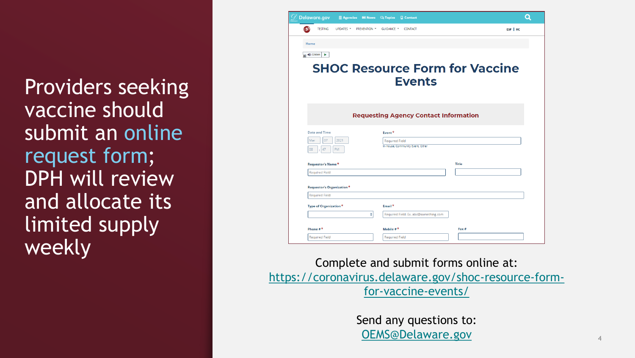Providers seeking vaccine should submit an online request form; DPH will review and allocate its limited supply weekly



Complete and submit forms online at: [https://coronavirus.delaware.gov/shoc-resource-form](https://coronavirus.delaware.gov/shoc-resource-form-for-vaccine-events/)for-vaccine-events/

> Send any questions to: [OEMS@Delaware.gov](mailto:OEMS@Delaware.gov)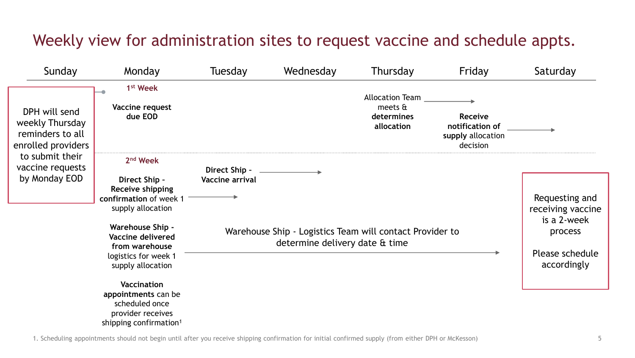### Weekly view for administration sites to request vaccine and schedule appts.

| Sunday                                                                                                                             | Monday                                                                                                                                                                                                                  | Tuesday                          | Wednesday                      | Thursday                                                                                | Friday                                                             | Saturday                                                                                        |
|------------------------------------------------------------------------------------------------------------------------------------|-------------------------------------------------------------------------------------------------------------------------------------------------------------------------------------------------------------------------|----------------------------------|--------------------------------|-----------------------------------------------------------------------------------------|--------------------------------------------------------------------|-------------------------------------------------------------------------------------------------|
| DPH will send<br>weekly Thursday<br>reminders to all<br>enrolled providers<br>to submit their<br>vaccine requests<br>by Monday EOD | 1 <sup>st</sup> Week<br>Vaccine request<br>due EOD                                                                                                                                                                      |                                  |                                | <b>Allocation Team</b><br>meets $\mathbf{\hat{\mathbf{a}}}$<br>determines<br>allocation | <b>Receive</b><br>notification of<br>supply allocation<br>decision |                                                                                                 |
|                                                                                                                                    | 2 <sup>nd</sup> Week<br>Direct Ship -<br>Receive shipping<br>confirmation of week 1<br>supply allocation<br><b>Warehouse Ship -</b><br>Vaccine delivered<br>from warehouse<br>logistics for week 1<br>supply allocation | Direct Ship -<br>Vaccine arrival | determine delivery date & time | Warehouse Ship - Logistics Team will contact Provider to                                |                                                                    | Requesting and<br>receiving vaccine<br>is a 2-week<br>process<br>Please schedule<br>accordingly |
|                                                                                                                                    | Vaccination<br>appointments can be<br>scheduled once<br>provider receives<br>shipping confirmation <sup>1</sup>                                                                                                         |                                  |                                |                                                                                         |                                                                    |                                                                                                 |

1. Scheduling appointments should not begin until after you receive shipping confirmation for initial confirmed supply (from either DPH or McKesson)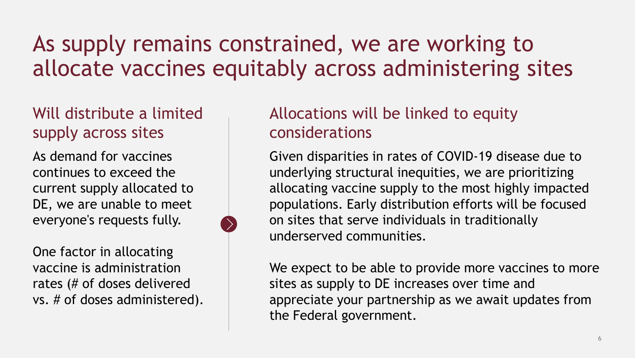# As supply remains constrained, we are working to allocate vaccines equitably across administering sites

### Will distribute a limited supply across sites

As demand for vaccines continues to exceed the current supply allocated to DE, we are unable to meet everyone's requests fully.

One factor in allocating vaccine is administration rates (# of doses delivered vs. # of doses administered).

### Allocations will be linked to equity considerations

Given disparities in rates of COVID-19 disease due to underlying structural inequities, we are prioritizing allocating vaccine supply to the most highly impacted populations. Early distribution efforts will be focused on sites that serve individuals in traditionally underserved communities.

We expect to be able to provide more vaccines to more sites as supply to DE increases over time and appreciate your partnership as we await updates from the Federal government.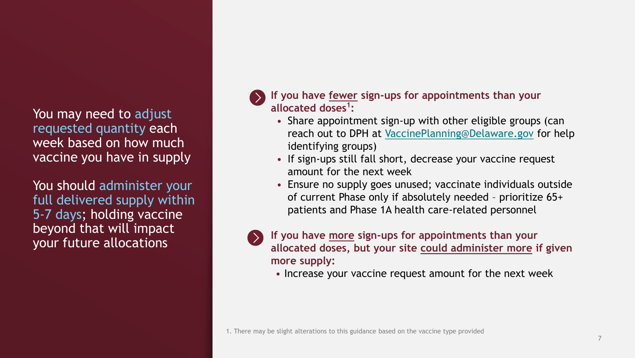You may need to adjust requested quantity each week based on how much vaccine you have in supply

You should administer your full delivered supply within 5-7 days; holding vaccine beyond that will impact your future allocations

**If you have fewer sign-ups for appointments than your allocated doses<sup>1</sup> :**

- Share appointment sign-up with other eligible groups (can reach out to DPH at [VaccinePlanning@Delaware.gov](mailto:VaccinePlanning@Delaware.gov) for help identifying groups)
- If sign-ups still fall short, decrease your vaccine request amount for the next week
- Ensure no supply goes unused; vaccinate individuals outside of current Phase only if absolutely needed – prioritize 65+ patients and Phase 1A health care-related personnel



**If you have more sign-ups for appointments than your allocated doses, but your site could administer more if given more supply:**

• Increase your vaccine request amount for the next week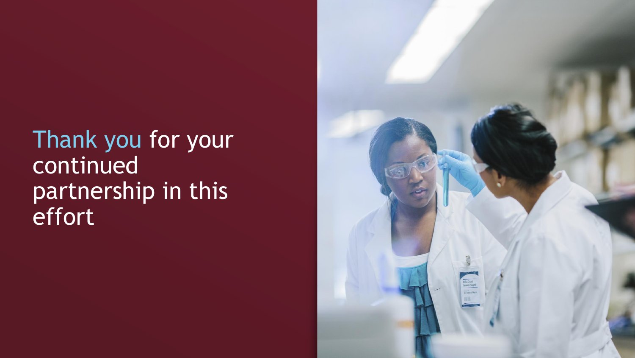Thank you for your continued partnership in this effort